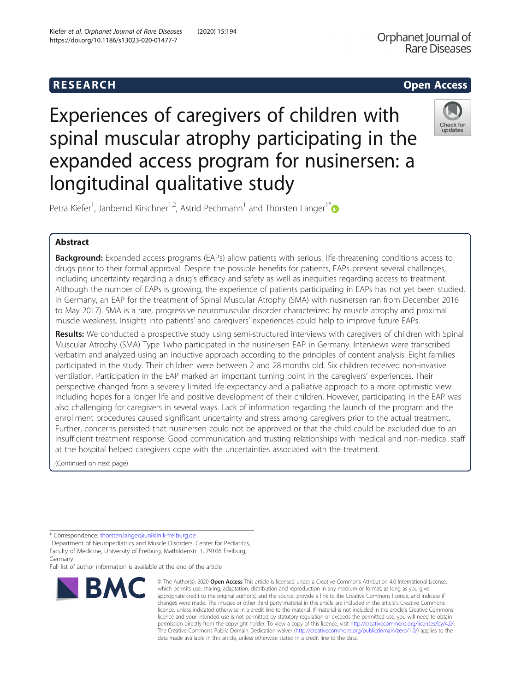## **RESEARCH CHEAR CHEAR CHEAR CHEAR CHEAR CHEAR CHEAR CHEAR CHEAR CHEAR CHEAR CHEAR CHEAR CHEAR CHEAR CHEAR CHEAR**

# Experiences of caregivers of children with spinal muscular atrophy participating in the expanded access program for nusinersen: a longitudinal qualitative study



Petra Kiefer<sup>1</sup>, Janbernd Kirschner<sup>1,2</sup>, Astrid Pechmann<sup>1</sup> and Thorsten Langer<sup>1\*</sup>

### Abstract

**Background:** Expanded access programs (EAPs) allow patients with serious, life-threatening conditions access to drugs prior to their formal approval. Despite the possible benefits for patients, EAPs present several challenges, including uncertainty regarding a drug's efficacy and safety as well as inequities regarding access to treatment. Although the number of EAPs is growing, the experience of patients participating in EAPs has not yet been studied. In Germany, an EAP for the treatment of Spinal Muscular Atrophy (SMA) with nusinersen ran from December 2016 to May 2017). SMA is a rare, progressive neuromuscular disorder characterized by muscle atrophy and proximal muscle weakness. Insights into patients' and caregivers' experiences could help to improve future EAPs.

Results: We conducted a prospective study using semi-structured interviews with caregivers of children with Spinal Muscular Atrophy (SMA) Type 1who participated in the nusinersen EAP in Germany. Interviews were transcribed verbatim and analyzed using an inductive approach according to the principles of content analysis. Eight families participated in the study. Their children were between 2 and 28 months old. Six children received non-invasive ventilation. Participation in the EAP marked an important turning point in the caregivers' experiences. Their perspective changed from a severely limited life expectancy and a palliative approach to a more optimistic view including hopes for a longer life and positive development of their children. However, participating in the EAP was also challenging for caregivers in several ways. Lack of information regarding the launch of the program and the enrollment procedures caused significant uncertainty and stress among caregivers prior to the actual treatment. Further, concerns persisted that nusinersen could not be approved or that the child could be excluded due to an insufficient treatment response. Good communication and trusting relationships with medical and non-medical staff at the hospital helped caregivers cope with the uncertainties associated with the treatment.

(Continued on next page)

Full list of author information is available at the end of the article



<sup>©</sup> The Author(s), 2020 **Open Access** This article is licensed under a Creative Commons Attribution 4.0 International License, which permits use, sharing, adaptation, distribution and reproduction in any medium or format, as long as you give appropriate credit to the original author(s) and the source, provide a link to the Creative Commons licence, and indicate if changes were made. The images or other third party material in this article are included in the article's Creative Commons licence, unless indicated otherwise in a credit line to the material. If material is not included in the article's Creative Commons licence and your intended use is not permitted by statutory regulation or exceeds the permitted use, you will need to obtain permission directly from the copyright holder. To view a copy of this licence, visit [http://creativecommons.org/licenses/by/4.0/.](http://creativecommons.org/licenses/by/4.0/) The Creative Commons Public Domain Dedication waiver [\(http://creativecommons.org/publicdomain/zero/1.0/](http://creativecommons.org/publicdomain/zero/1.0/)) applies to the data made available in this article, unless otherwise stated in a credit line to the data.

<sup>\*</sup> Correspondence: [thorsten.langer@uniklinik-freiburg.de](mailto:thorsten.langer@uniklinik-freiburg.de) <sup>1</sup>

<sup>&</sup>lt;sup>1</sup>Department of Neuropediatrics and Muscle Disorders, Center for Pediatrics, Faculty of Medicine, University of Freiburg, Mathildenstr. 1, 79106 Freiburg, Germany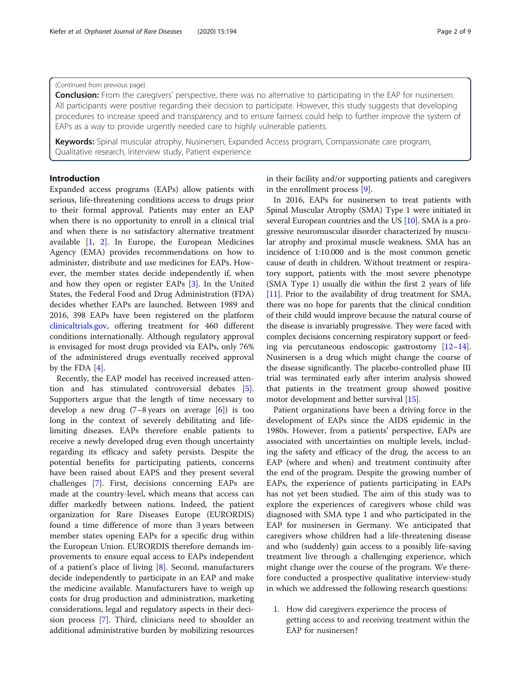#### (Continued from previous page)

**Conclusion:** From the caregivers' perspective, there was no alternative to participating in the EAP for nusinersen. All participants were positive regarding their decision to participate. However, this study suggests that developing procedures to increase speed and transparency and to ensure fairness could help to further improve the system of EAPs as a way to provide urgently needed care to highly vulnerable patients.

Keywords: Spinal muscular atrophy, Nusinersen, Expanded Access program, Compassionate care program, Qualitative research, Interview study, Patient experience

#### Introduction

Expanded access programs (EAPs) allow patients with serious, life-threatening conditions access to drugs prior to their formal approval. Patients may enter an EAP when there is no opportunity to enroll in a clinical trial and when there is no satisfactory alternative treatment available [\[1](#page-8-0), [2](#page-8-0)]. In Europe, the European Medicines Agency (EMA) provides recommendations on how to administer, distribute and use medicines for EAPs. However, the member states decide independently if, when and how they open or register EAPs [[3\]](#page-8-0). In the United States, the Federal Food and Drug Administration (FDA) decides whether EAPs are launched. Between 1989 and 2016, 398 EAPs have been registered on the platform [clinicaltrials.gov](http://clinicaltrials.gov), offering treatment for 460 different conditions internationally. Although regulatory approval is envisaged for most drugs provided via EAPs, only 76% of the administered drugs eventually received approval by the FDA [\[4](#page-8-0)].

Recently, the EAP model has received increased attention and has stimulated controversial debates [\[5](#page-8-0)]. Supporters argue that the length of time necessary to develop a new drug  $(7-8$  years on average  $[6]$  $[6]$ ) is too long in the context of severely debilitating and lifelimiting diseases. EAPs therefore enable patients to receive a newly developed drug even though uncertainty regarding its efficacy and safety persists. Despite the potential benefits for participating patients, concerns have been raised about EAPS and they present several challenges [[7\]](#page-8-0). First, decisions concerning EAPs are made at the country-level, which means that access can differ markedly between nations. Indeed, the patient organization for Rare Diseases Europe (EURORDIS) found a time difference of more than 3 years between member states opening EAPs for a specific drug within the European Union. EURORDIS therefore demands improvements to ensure equal access to EAPs independent of a patient's place of living [[8\]](#page-8-0). Second, manufacturers decide independently to participate in an EAP and make the medicine available. Manufacturers have to weigh up costs for drug production and administration, marketing considerations, legal and regulatory aspects in their decision process [\[7](#page-8-0)]. Third, clinicians need to shoulder an additional administrative burden by mobilizing resources in their facility and/or supporting patients and caregivers in the enrollment process [[9\]](#page-8-0).

In 2016, EAPs for nusinersen to treat patients with Spinal Muscular Atrophy (SMA) Type 1 were initiated in several European countries and the US [\[10\]](#page-8-0). SMA is a progressive neuromuscular disorder characterized by muscular atrophy and proximal muscle weakness. SMA has an incidence of 1:10.000 and is the most common genetic cause of death in children. Without treatment or respiratory support, patients with the most severe phenotype (SMA Type 1) usually die within the first 2 years of life [[11](#page-8-0)]. Prior to the availability of drug treatment for SMA, there was no hope for parents that the clinical condition of their child would improve because the natural course of the disease is invariably progressive. They were faced with complex decisions concerning respiratory support or feeding via percutaneous endoscopic gastrostomy [\[12](#page-8-0)–[14](#page-8-0)]. Nusinersen is a drug which might change the course of the disease significantly. The placebo-controlled phase III trial was terminated early after interim analysis showed that patients in the treatment group showed positive motor development and better survival [\[15\]](#page-8-0).

Patient organizations have been a driving force in the development of EAPs since the AIDS epidemic in the 1980s. However, from a patients' perspective, EAPs are associated with uncertainties on multiple levels, including the safety and efficacy of the drug, the access to an EAP (where and when) and treatment continuity after the end of the program. Despite the growing number of EAPs, the experience of patients participating in EAPs has not yet been studied. The aim of this study was to explore the experiences of caregivers whose child was diagnosed with SMA type 1 and who participated in the EAP for nusinersen in Germany. We anticipated that caregivers whose children had a life-threatening disease and who (suddenly) gain access to a possibly life-saving treatment live through a challenging experience, which might change over the course of the program. We therefore conducted a prospective qualitative interview-study in which we addressed the following research questions:

1. How did caregivers experience the process of getting access to and receiving treatment within the EAP for nusinersen?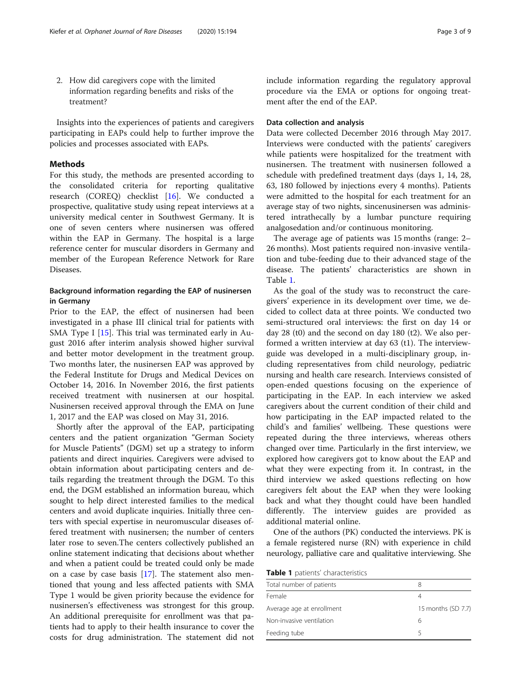2. How did caregivers cope with the limited information regarding benefits and risks of the treatment?

Insights into the experiences of patients and caregivers participating in EAPs could help to further improve the policies and processes associated with EAPs.

#### Methods

For this study, the methods are presented according to the consolidated criteria for reporting qualitative research (COREQ) checklist [[16](#page-8-0)]. We conducted a prospective, qualitative study using repeat interviews at a university medical center in Southwest Germany. It is one of seven centers where nusinersen was offered within the EAP in Germany. The hospital is a large reference center for muscular disorders in Germany and member of the European Reference Network for Rare **Diseases** 

#### Background information regarding the EAP of nusinersen in Germany

Prior to the EAP, the effect of nusinersen had been investigated in a phase III clinical trial for patients with SMA Type I [[15\]](#page-8-0). This trial was terminated early in August 2016 after interim analysis showed higher survival and better motor development in the treatment group. Two months later, the nusinersen EAP was approved by the Federal Institute for Drugs and Medical Devices on October 14, 2016. In November 2016, the first patients received treatment with nusinersen at our hospital. Nusinersen received approval through the EMA on June 1, 2017 and the EAP was closed on May 31, 2016.

Shortly after the approval of the EAP, participating centers and the patient organization "German Society for Muscle Patients" (DGM) set up a strategy to inform patients and direct inquiries. Caregivers were advised to obtain information about participating centers and details regarding the treatment through the DGM. To this end, the DGM established an information bureau, which sought to help direct interested families to the medical centers and avoid duplicate inquiries. Initially three centers with special expertise in neuromuscular diseases offered treatment with nusinersen; the number of centers later rose to seven.The centers collectively published an online statement indicating that decisions about whether and when a patient could be treated could only be made on a case by case basis [\[17\]](#page-8-0). The statement also mentioned that young and less affected patients with SMA Type 1 would be given priority because the evidence for nusinersen's effectiveness was strongest for this group. An additional prerequisite for enrollment was that patients had to apply to their health insurance to cover the costs for drug administration. The statement did not include information regarding the regulatory approval procedure via the EMA or options for ongoing treatment after the end of the EAP.

#### Data collection and analysis

Data were collected December 2016 through May 2017. Interviews were conducted with the patients' caregivers while patients were hospitalized for the treatment with nusinersen. The treatment with nusinersen followed a schedule with predefined treatment days (days 1, 14, 28, 63, 180 followed by injections every 4 months). Patients were admitted to the hospital for each treatment for an average stay of two nights, sincenusinersen was administered intrathecally by a lumbar puncture requiring analgosedation and/or continuous monitoring.

The average age of patients was 15 months (range: 2– 26 months). Most patients required non-invasive ventilation and tube-feeding due to their advanced stage of the disease. The patients' characteristics are shown in Table 1.

As the goal of the study was to reconstruct the caregivers' experience in its development over time, we decided to collect data at three points. We conducted two semi-structured oral interviews: the first on day 14 or day 28 (t0) and the second on day 180 (t2). We also performed a written interview at day 63 (t1). The interviewguide was developed in a multi-disciplinary group, including representatives from child neurology, pediatric nursing and health care research. Interviews consisted of open-ended questions focusing on the experience of participating in the EAP. In each interview we asked caregivers about the current condition of their child and how participating in the EAP impacted related to the child's and families' wellbeing. These questions were repeated during the three interviews, whereas others changed over time. Particularly in the first interview, we explored how caregivers got to know about the EAP and what they were expecting from it. In contrast, in the third interview we asked questions reflecting on how caregivers felt about the EAP when they were looking back and what they thought could have been handled differently. The interview guides are provided as additional material online.

One of the authors (PK) conducted the interviews. PK is a female registered nurse (RN) with experience in child neurology, palliative care and qualitative interviewing. She

**Table 1** patients' characteristics

| Total number of patients  |                    |
|---------------------------|--------------------|
| Female                    |                    |
| Average age at enrollment | 15 months (SD 7.7) |
| Non-invasive ventilation  | 6                  |
| Feeding tube              |                    |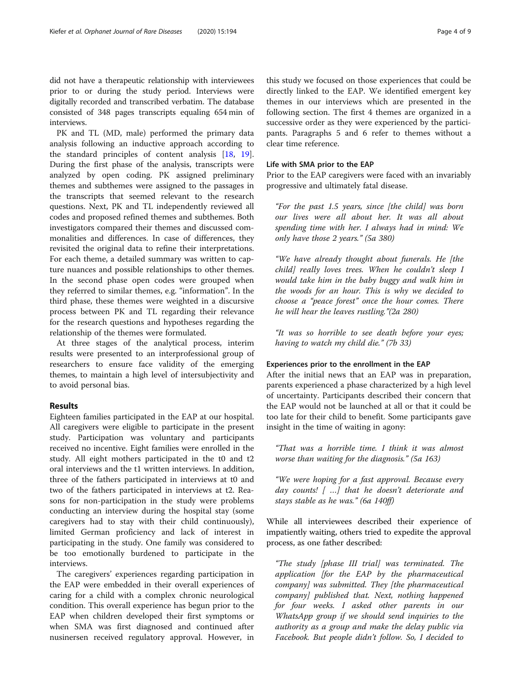did not have a therapeutic relationship with interviewees prior to or during the study period. Interviews were digitally recorded and transcribed verbatim. The database consisted of 348 pages transcripts equaling 654 min of interviews.

PK and TL (MD, male) performed the primary data analysis following an inductive approach according to the standard principles of content analysis [[18,](#page-8-0) [19](#page-8-0)]. During the first phase of the analysis, transcripts were analyzed by open coding. PK assigned preliminary themes and subthemes were assigned to the passages in the transcripts that seemed relevant to the research questions. Next, PK and TL independently reviewed all codes and proposed refined themes and subthemes. Both investigators compared their themes and discussed commonalities and differences. In case of differences, they revisited the original data to refine their interpretations. For each theme, a detailed summary was written to capture nuances and possible relationships to other themes. In the second phase open codes were grouped when they referred to similar themes, e.g. "information". In the third phase, these themes were weighted in a discursive process between PK and TL regarding their relevance for the research questions and hypotheses regarding the relationship of the themes were formulated.

At three stages of the analytical process, interim results were presented to an interprofessional group of researchers to ensure face validity of the emerging themes, to maintain a high level of intersubjectivity and to avoid personal bias.

#### Results

Eighteen families participated in the EAP at our hospital. All caregivers were eligible to participate in the present study. Participation was voluntary and participants received no incentive. Eight families were enrolled in the study. All eight mothers participated in the t0 and t2 oral interviews and the t1 written interviews. In addition, three of the fathers participated in interviews at t0 and two of the fathers participated in interviews at t2. Reasons for non-participation in the study were problems conducting an interview during the hospital stay (some caregivers had to stay with their child continuously), limited German proficiency and lack of interest in participating in the study. One family was considered to be too emotionally burdened to participate in the interviews.

The caregivers' experiences regarding participation in the EAP were embedded in their overall experiences of caring for a child with a complex chronic neurological condition. This overall experience has begun prior to the EAP when children developed their first symptoms or when SMA was first diagnosed and continued after nusinersen received regulatory approval. However, in

this study we focused on those experiences that could be directly linked to the EAP. We identified emergent key themes in our interviews which are presented in the following section. The first 4 themes are organized in a successive order as they were experienced by the participants. Paragraphs 5 and 6 refer to themes without a clear time reference.

#### Life with SMA prior to the EAP

Prior to the EAP caregivers were faced with an invariably progressive and ultimately fatal disease.

"For the past 1.5 years, since [the child] was born our lives were all about her. It was all about spending time with her. I always had in mind: We only have those 2 years." (5a 380)

"We have already thought about funerals. He [the child] really loves trees. When he couldn't sleep I would take him in the baby buggy and walk him in the woods for an hour. This is why we decided to choose a "peace forest" once the hour comes. There he will hear the leaves rustling."(2a 280)

"It was so horrible to see death before your eyes; having to watch my child die." (7b 33)

#### Experiences prior to the enrollment in the EAP

After the initial news that an EAP was in preparation, parents experienced a phase characterized by a high level of uncertainty. Participants described their concern that the EAP would not be launched at all or that it could be too late for their child to benefit. Some participants gave insight in the time of waiting in agony:

"That was a horrible time. I think it was almost worse than waiting for the diagnosis." (5a 163)

"We were hoping for a fast approval. Because every day counts! [ …] that he doesn't deteriorate and stays stable as he was." (6a 140ff)

While all interviewees described their experience of impatiently waiting, others tried to expedite the approval process, as one father described:

"The study [phase III trial] was terminated. The application [for the EAP by the pharmaceutical company] was submitted. They [the pharmaceutical company] published that. Next, nothing happened for four weeks. I asked other parents in our WhatsApp group if we should send inquiries to the authority as a group and make the delay public via Facebook. But people didn't follow. So, I decided to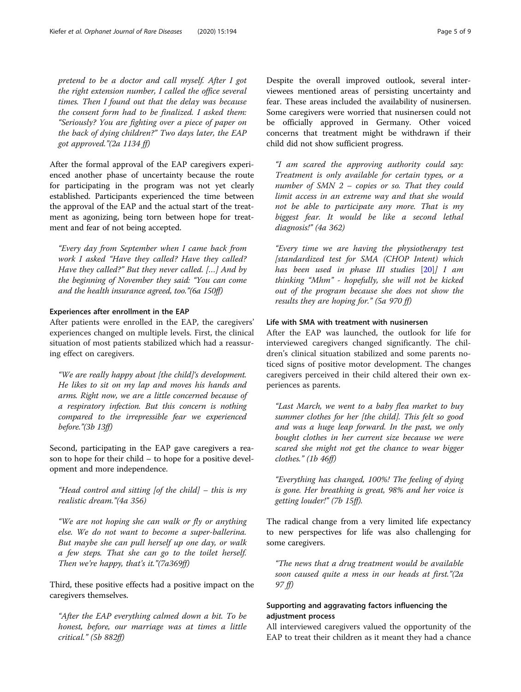pretend to be a doctor and call myself. After I got the right extension number, I called the office several times. Then I found out that the delay was because the consent form had to be finalized. I asked them: "Seriously? You are fighting over a piece of paper on the back of dying children?" Two days later, the EAP got approved."(2a 1134 ff)

After the formal approval of the EAP caregivers experienced another phase of uncertainty because the route for participating in the program was not yet clearly established. Participants experienced the time between the approval of the EAP and the actual start of the treatment as agonizing, being torn between hope for treatment and fear of not being accepted.

"Every day from September when I came back from work I asked "Have they called? Have they called? Have they called?" But they never called. […] And by the beginning of November they said: "You can come and the health insurance agreed, too."(6a 150ff)

#### Experiences after enrollment in the EAP

After patients were enrolled in the EAP, the caregivers' experiences changed on multiple levels. First, the clinical situation of most patients stabilized which had a reassuring effect on caregivers.

"We are really happy about [the child]'s development. He likes to sit on my lap and moves his hands and arms. Right now, we are a little concerned because of a respiratory infection. But this concern is nothing compared to the irrepressible fear we experienced before."(3b 13ff)

Second, participating in the EAP gave caregivers a reason to hope for their child – to hope for a positive development and more independence.

"Head control and sitting [of the child] – this is my realistic dream."(4a 356)

"We are not hoping she can walk or fly or anything else. We do not want to become a super-ballerina. But maybe she can pull herself up one day, or walk a few steps. That she can go to the toilet herself. Then we're happy, that's it."(7a369ff)

Third, these positive effects had a positive impact on the caregivers themselves.

"After the EAP everything calmed down a bit. To be honest, before, our marriage was at times a little critical." (5b 882ff)

Despite the overall improved outlook, several interviewees mentioned areas of persisting uncertainty and fear. These areas included the availability of nusinersen. Some caregivers were worried that nusinersen could not be officially approved in Germany. Other voiced concerns that treatment might be withdrawn if their child did not show sufficient progress.

"I am scared the approving authority could say: Treatment is only available for certain types, or a number of SMN 2 – copies or so. That they could limit access in an extreme way and that she would not be able to participate any more. That is my biggest fear. It would be like a second lethal diagnosis!" (4a 362)

"Every time we are having the physiotherapy test [standardized test for SMA (CHOP Intent) which has been used in phase III studies [\[20](#page-8-0)]] I am thinking "Mhm" - hopefully, she will not be kicked out of the program because she does not show the results they are hoping for." (5a 970 ff)

#### Life with SMA with treatment with nusinersen

After the EAP was launched, the outlook for life for interviewed caregivers changed significantly. The children's clinical situation stabilized and some parents noticed signs of positive motor development. The changes caregivers perceived in their child altered their own experiences as parents.

"Last March, we went to a baby flea market to buy summer clothes for her [the child]. This felt so good and was a huge leap forward. In the past, we only bought clothes in her current size because we were scared she might not get the chance to wear bigger clothes." (1b 46ff)

"Everything has changed, 100%! The feeling of dying is gone. Her breathing is great, 98% and her voice is getting louder!" (7b 15ff).

The radical change from a very limited life expectancy to new perspectives for life was also challenging for some caregivers.

"The news that a drug treatment would be available soon caused quite a mess in our heads at first."(2a 97 ff)

#### Supporting and aggravating factors influencing the adjustment process

All interviewed caregivers valued the opportunity of the EAP to treat their children as it meant they had a chance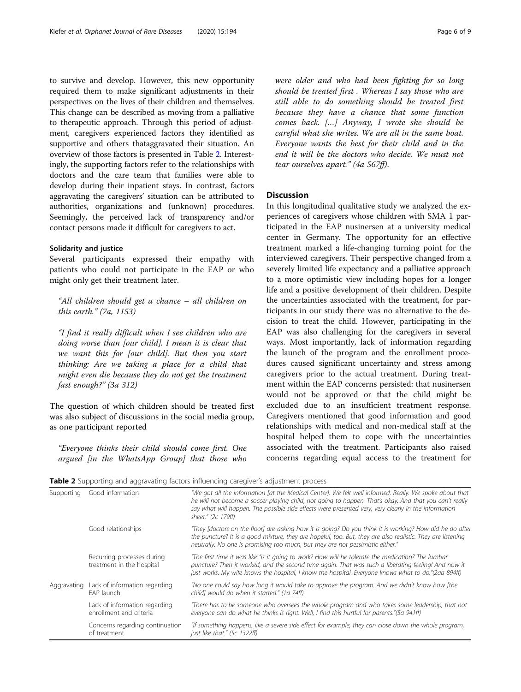to survive and develop. However, this new opportunity required them to make significant adjustments in their perspectives on the lives of their children and themselves. This change can be described as moving from a palliative to therapeutic approach. Through this period of adjustment, caregivers experienced factors they identified as supportive and others thataggravated their situation. An overview of those factors is presented in Table 2. Interestingly, the supporting factors refer to the relationships with doctors and the care team that families were able to develop during their inpatient stays. In contrast, factors aggravating the caregivers' situation can be attributed to authorities, organizations and (unknown) procedures. Seemingly, the perceived lack of transparency and/or contact persons made it difficult for caregivers to act.

#### Solidarity and justice

Several participants expressed their empathy with patients who could not participate in the EAP or who might only get their treatment later.

"All children should get a chance – all children on this earth." (7a, 1153)

"I find it really difficult when I see children who are doing worse than [our child]. I mean it is clear that we want this for [our child]. But then you start thinking: Are we taking a place for a child that might even die because they do not get the treatment fast enough?" (3a 312)

The question of which children should be treated first was also subject of discussions in the social media group, as one participant reported

"Everyone thinks their child should come first. One argued [in the WhatsApp Group] that those who

were older and who had been fighting for so long should be treated first . Whereas I say those who are still able to do something should be treated first because they have a chance that some function comes back. […] Anyway, I wrote she should be careful what she writes. We are all in the same boat. Everyone wants the best for their child and in the end it will be the doctors who decide. We must not tear ourselves apart." (4a 567ff).

#### **Discussion**

In this longitudinal qualitative study we analyzed the experiences of caregivers whose children with SMA 1 participated in the EAP nusinersen at a university medical center in Germany. The opportunity for an effective treatment marked a life-changing turning point for the interviewed caregivers. Their perspective changed from a severely limited life expectancy and a palliative approach to a more optimistic view including hopes for a longer life and a positive development of their children. Despite the uncertainties associated with the treatment, for participants in our study there was no alternative to the decision to treat the child. However, participating in the EAP was also challenging for the caregivers in several ways. Most importantly, lack of information regarding the launch of the program and the enrollment procedures caused significant uncertainty and stress among caregivers prior to the actual treatment. During treatment within the EAP concerns persisted: that nusinersen would not be approved or that the child might be excluded due to an insufficient treatment response. Caregivers mentioned that good information and good relationships with medical and non-medical staff at the hospital helped them to cope with the uncertainties associated with the treatment. Participants also raised concerns regarding equal access to the treatment for

Table 2 Supporting and aggravating factors influencing caregiver's adjustment process

| Supporting  | Good information                                         | "We got all the information [at the Medical Center]. We felt well informed. Really. We spoke about that<br>he will not become a soccer playing child, not going to happen. That's okay. And that you can't really<br>say what will happen. The possible side effects were presented very, very clearly in the information<br>sheet." (2c 179ff) |
|-------------|----------------------------------------------------------|-------------------------------------------------------------------------------------------------------------------------------------------------------------------------------------------------------------------------------------------------------------------------------------------------------------------------------------------------|
|             | Good relationships                                       | "They [doctors on the floor] are asking how it is going? Do you think it is working? How did he do after<br>the puncture? It is a good mixture, they are hopeful, too. But, they are also realistic. They are listening<br>neutrally. No one is promising too much, but they are not pessimistic either."                                       |
|             | Recurring processes during<br>treatment in the hospital  | "The first time it was like "is it going to work? How will he tolerate the medication? The lumbar<br>puncture? Then it worked, and the second time again. That was such a liberating feeling! And now it<br>just works. My wife knows the hospital, I know the hospital. Everyone knows what to do."(2aa 894ff)                                 |
| Aggravating | Lack of information regarding<br>FAP launch              | "No one could say how long it would take to approve the program. And we didn't know how [the<br>child] would do when it started." (1a 74ff)                                                                                                                                                                                                     |
|             | Lack of information regarding<br>enrollment and criteria | "There has to be someone who oversees the whole program and who takes some leadership, that not<br>everyone can do what he thinks is right. Well, I find this hurtful for parents."(5a 941ff)                                                                                                                                                   |
|             | Concerns regarding continuation<br>of treatment          | "If something happens, like a severe side effect for example, they can close down the whole program,<br>just like that." (5c 1322ff)                                                                                                                                                                                                            |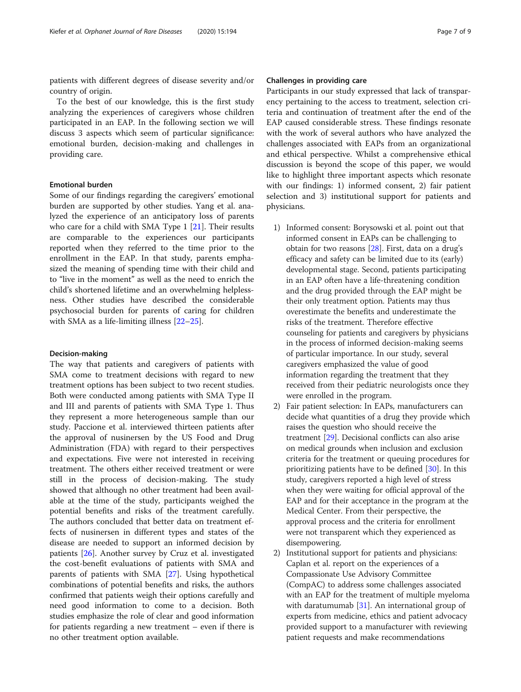patients with different degrees of disease severity and/or country of origin.

To the best of our knowledge, this is the first study analyzing the experiences of caregivers whose children participated in an EAP. In the following section we will discuss 3 aspects which seem of particular significance: emotional burden, decision-making and challenges in providing care.

#### Emotional burden

Some of our findings regarding the caregivers' emotional burden are supported by other studies. Yang et al. analyzed the experience of an anticipatory loss of parents who care for a child with SMA Type 1 [\[21](#page-8-0)]. Their results are comparable to the experiences our participants reported when they referred to the time prior to the enrollment in the EAP. In that study, parents emphasized the meaning of spending time with their child and to "live in the moment" as well as the need to enrich the child's shortened lifetime and an overwhelming helplessness. Other studies have described the considerable psychosocial burden for parents of caring for children with SMA as a life-limiting illness [[22](#page-8-0)–[25](#page-8-0)].

#### Decision-making

The way that patients and caregivers of patients with SMA come to treatment decisions with regard to new treatment options has been subject to two recent studies. Both were conducted among patients with SMA Type II and III and parents of patients with SMA Type 1. Thus they represent a more heterogeneous sample than our study. Paccione et al. interviewed thirteen patients after the approval of nusinersen by the US Food and Drug Administration (FDA) with regard to their perspectives and expectations. Five were not interested in receiving treatment. The others either received treatment or were still in the process of decision-making. The study showed that although no other treatment had been available at the time of the study, participants weighed the potential benefits and risks of the treatment carefully. The authors concluded that better data on treatment effects of nusinersen in different types and states of the disease are needed to support an informed decision by patients [[26](#page-8-0)]. Another survey by Cruz et al. investigated the cost-benefit evaluations of patients with SMA and parents of patients with SMA [\[27](#page-8-0)]. Using hypothetical combinations of potential benefits and risks, the authors confirmed that patients weigh their options carefully and need good information to come to a decision. Both studies emphasize the role of clear and good information for patients regarding a new treatment – even if there is no other treatment option available.

#### Challenges in providing care

Participants in our study expressed that lack of transparency pertaining to the access to treatment, selection criteria and continuation of treatment after the end of the EAP caused considerable stress. These findings resonate with the work of several authors who have analyzed the challenges associated with EAPs from an organizational and ethical perspective. Whilst a comprehensive ethical discussion is beyond the scope of this paper, we would like to highlight three important aspects which resonate with our findings: 1) informed consent, 2) fair patient selection and 3) institutional support for patients and physicians.

- 1) Informed consent: Borysowski et al. point out that informed consent in EAPs can be challenging to obtain for two reasons [[28\]](#page-8-0). First, data on a drug's efficacy and safety can be limited due to its (early) developmental stage. Second, patients participating in an EAP often have a life-threatening condition and the drug provided through the EAP might be their only treatment option. Patients may thus overestimate the benefits and underestimate the risks of the treatment. Therefore effective counseling for patients and caregivers by physicians in the process of informed decision-making seems of particular importance. In our study, several caregivers emphasized the value of good information regarding the treatment that they received from their pediatric neurologists once they were enrolled in the program.
- 2) Fair patient selection: In EAPs, manufacturers can decide what quantities of a drug they provide which raises the question who should receive the treatment [[29\]](#page-8-0). Decisional conflicts can also arise on medical grounds when inclusion and exclusion criteria for the treatment or queuing procedures for prioritizing patients have to be defined [[30](#page-8-0)]. In this study, caregivers reported a high level of stress when they were waiting for official approval of the EAP and for their acceptance in the program at the Medical Center. From their perspective, the approval process and the criteria for enrollment were not transparent which they experienced as disempowering.
- 2) Institutional support for patients and physicians: Caplan et al. report on the experiences of a Compassionate Use Advisory Committee (CompAC) to address some challenges associated with an EAP for the treatment of multiple myeloma with daratumumab  $[31]$  $[31]$  $[31]$ . An international group of experts from medicine, ethics and patient advocacy provided support to a manufacturer with reviewing patient requests and make recommendations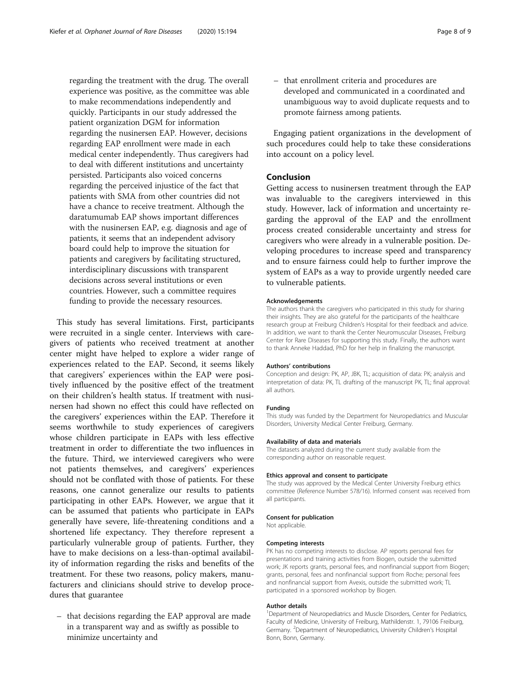regarding the treatment with the drug. The overall experience was positive, as the committee was able to make recommendations independently and quickly. Participants in our study addressed the patient organization DGM for information regarding the nusinersen EAP. However, decisions regarding EAP enrollment were made in each medical center independently. Thus caregivers had to deal with different institutions and uncertainty persisted. Participants also voiced concerns regarding the perceived injustice of the fact that patients with SMA from other countries did not have a chance to receive treatment. Although the daratumumab EAP shows important differences with the nusinersen EAP, e.g. diagnosis and age of patients, it seems that an independent advisory board could help to improve the situation for patients and caregivers by facilitating structured, interdisciplinary discussions with transparent decisions across several institutions or even countries. However, such a committee requires funding to provide the necessary resources.

This study has several limitations. First, participants were recruited in a single center. Interviews with caregivers of patients who received treatment at another center might have helped to explore a wider range of experiences related to the EAP. Second, it seems likely that caregivers' experiences within the EAP were positively influenced by the positive effect of the treatment on their children's health status. If treatment with nusinersen had shown no effect this could have reflected on the caregivers' experiences within the EAP. Therefore it seems worthwhile to study experiences of caregivers whose children participate in EAPs with less effective treatment in order to differentiate the two influences in the future. Third, we interviewed caregivers who were not patients themselves, and caregivers' experiences should not be conflated with those of patients. For these reasons, one cannot generalize our results to patients participating in other EAPs. However, we argue that it can be assumed that patients who participate in EAPs generally have severe, life-threatening conditions and a shortened life expectancy. They therefore represent a particularly vulnerable group of patients. Further, they have to make decisions on a less-than-optimal availability of information regarding the risks and benefits of the treatment. For these two reasons, policy makers, manufacturers and clinicians should strive to develop procedures that guarantee

– that decisions regarding the EAP approval are made in a transparent way and as swiftly as possible to minimize uncertainty and

– that enrollment criteria and procedures are developed and communicated in a coordinated and unambiguous way to avoid duplicate requests and to promote fairness among patients.

Engaging patient organizations in the development of such procedures could help to take these considerations into account on a policy level.

#### Conclusion

Getting access to nusinersen treatment through the EAP was invaluable to the caregivers interviewed in this study. However, lack of information and uncertainty regarding the approval of the EAP and the enrollment process created considerable uncertainty and stress for caregivers who were already in a vulnerable position. Developing procedures to increase speed and transparency and to ensure fairness could help to further improve the system of EAPs as a way to provide urgently needed care to vulnerable patients.

#### Acknowledgements

The authors thank the caregivers who participated in this study for sharing their insights. They are also grateful for the participants of the healthcare research group at Freiburg Children's Hospital for their feedback and advice. In addition, we want to thank the Center Neuromuscular Diseases, Freiburg Center for Rare Diseases for supporting this study. Finally, the authors want to thank Anneke Haddad, PhD for her help in finalizing the manuscript.

#### Authors' contributions

Conception and design: PK, AP, JBK, TL; acquisition of data: PK; analysis and interpretation of data: PK, TL drafting of the manuscript PK, TL; final approval: all authors.

#### Funding

This study was funded by the Department for Neuropediatrics and Muscular Disorders, University Medical Center Freiburg, Germany.

#### Availability of data and materials

The datasets analyzed during the current study available from the corresponding author on reasonable request.

#### Ethics approval and consent to participate

The study was approved by the Medical Center University Freiburg ethics committee (Reference Number 578/16). Informed consent was received from all participants.

#### Consent for publication

Not applicable.

#### Competing interests

PK has no competing interests to disclose. AP reports personal fees for presentations and training activities from Biogen, outside the submitted work; JK reports grants, personal fees, and nonfinancial support from Biogen; grants, personal, fees and nonfinancial support from Roche; personal fees and nonfinancial support from Avexis, outside the submitted work; TL participated in a sponsored workshop by Biogen.

#### Author details

<sup>1</sup>Department of Neuropediatrics and Muscle Disorders, Center for Pediatrics, Faculty of Medicine, University of Freiburg, Mathildenstr. 1, 79106 Freiburg, Germany. <sup>2</sup>Department of Neuropediatrics, University Children's Hospital Bonn, Bonn, Germany.